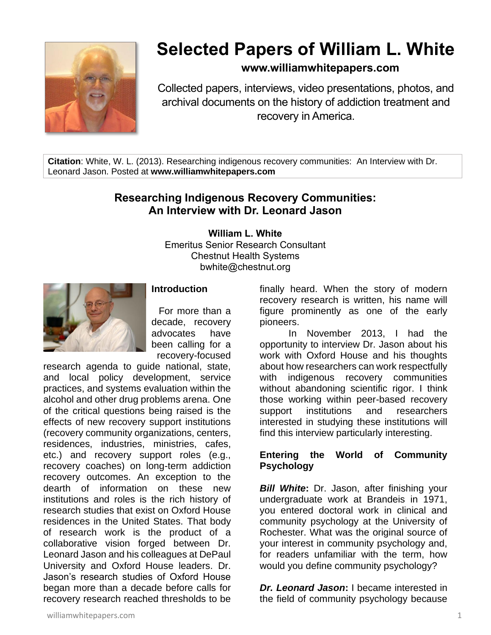

# **Selected Papers of William L. White**

### **www.williamwhitepapers.com**

Collected papers, interviews, video presentations, photos, and archival documents on the history of addiction treatment and recovery in America.

**Citation**: White, W. L. (2013). Researching indigenous recovery communities: An Interview with Dr. Leonard Jason. Posted at **www.williamwhitepapers.com**

## **Researching Indigenous Recovery Communities: An Interview with Dr. Leonard Jason**

#### **William L. White**

Emeritus Senior Research Consultant Chestnut Health Systems bwhite@chestnut.org



#### **Introduction**

For more than a decade, recovery advocates have been calling for a recovery-focused

research agenda to guide national, state, and local policy development, service practices, and systems evaluation within the alcohol and other drug problems arena. One of the critical questions being raised is the effects of new recovery support institutions (recovery community organizations, centers, residences, industries, ministries, cafes, etc.) and recovery support roles (e.g., recovery coaches) on long-term addiction recovery outcomes. An exception to the dearth of information on these new institutions and roles is the rich history of research studies that exist on Oxford House residences in the United States. That body of research work is the product of a collaborative vision forged between Dr. Leonard Jason and his colleagues at DePaul University and Oxford House leaders. Dr. Jason's research studies of Oxford House began more than a decade before calls for recovery research reached thresholds to be

finally heard. When the story of modern recovery research is written, his name will figure prominently as one of the early pioneers.

In November 2013, I had the opportunity to interview Dr. Jason about his work with Oxford House and his thoughts about how researchers can work respectfully with indigenous recovery communities without abandoning scientific rigor. I think those working within peer-based recovery support institutions and researchers interested in studying these institutions will find this interview particularly interesting.

#### **Entering the World of Community Psychology**

*Bill White***:** Dr. Jason, after finishing your undergraduate work at Brandeis in 1971, you entered doctoral work in clinical and community psychology at the University of Rochester. What was the original source of your interest in community psychology and, for readers unfamiliar with the term, how would you define community psychology?

*Dr. Leonard Jason***:** I became interested in the field of community psychology because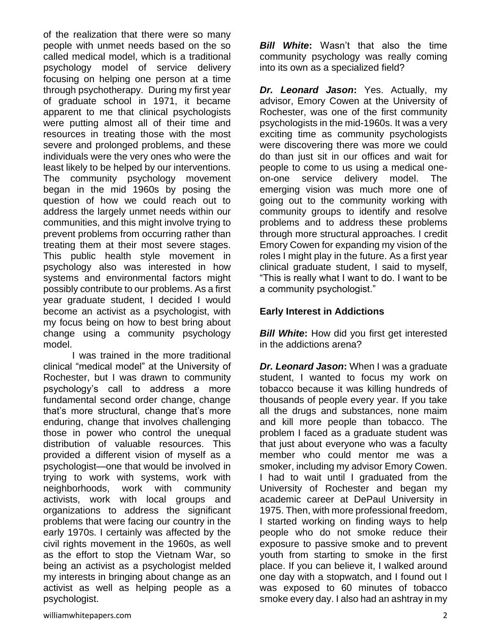of the realization that there were so many people with unmet needs based on the so called medical model, which is a traditional psychology model of service delivery focusing on helping one person at a time through psychotherapy. During my first year of graduate school in 1971, it became apparent to me that clinical psychologists were putting almost all of their time and resources in treating those with the most severe and prolonged problems, and these individuals were the very ones who were the least likely to be helped by our interventions. The community psychology movement began in the mid 1960s by posing the question of how we could reach out to address the largely unmet needs within our communities, and this might involve trying to prevent problems from occurring rather than treating them at their most severe stages. This public health style movement in psychology also was interested in how systems and environmental factors might possibly contribute to our problems. As a first year graduate student, I decided I would become an activist as a psychologist, with my focus being on how to best bring about change using a community psychology model.

I was trained in the more traditional clinical "medical model" at the University of Rochester, but I was drawn to community psychology's call to address a more fundamental second order change, change that's more structural, change that's more enduring, change that involves challenging those in power who control the unequal distribution of valuable resources. This provided a different vision of myself as a psychologist—one that would be involved in trying to work with systems, work with neighborhoods, work with community activists, work with local groups and organizations to address the significant problems that were facing our country in the early 1970s. I certainly was affected by the civil rights movement in the 1960s, as well as the effort to stop the Vietnam War, so being an activist as a psychologist melded my interests in bringing about change as an activist as well as helping people as a psychologist.

*Dr. Leonard Jason***:** Yes. Actually, my

into its own as a specialized field?

advisor, Emory Cowen at the University of Rochester, was one of the first community psychologists in the mid-1960s. It was a very exciting time as community psychologists were discovering there was more we could do than just sit in our offices and wait for people to come to us using a medical oneon-one service delivery model. The emerging vision was much more one of going out to the community working with community groups to identify and resolve problems and to address these problems through more structural approaches. I credit Emory Cowen for expanding my vision of the roles I might play in the future. As a first year clinical graduate student, I said to myself, "This is really what I want to do. I want to be a community psychologist."

*Bill White***:** Wasn't that also the time community psychology was really coming

#### **Early Interest in Addictions**

*Bill White:* How did you first get interested in the addictions arena?

*Dr. Leonard Jason***:** When I was a graduate student, I wanted to focus my work on tobacco because it was killing hundreds of thousands of people every year. If you take all the drugs and substances, none maim and kill more people than tobacco. The problem I faced as a graduate student was that just about everyone who was a faculty member who could mentor me was a smoker, including my advisor Emory Cowen. I had to wait until I graduated from the University of Rochester and began my academic career at DePaul University in 1975. Then, with more professional freedom, I started working on finding ways to help people who do not smoke reduce their exposure to passive smoke and to prevent youth from starting to smoke in the first place. If you can believe it, I walked around one day with a stopwatch, and I found out I was exposed to 60 minutes of tobacco smoke every day. I also had an ashtray in my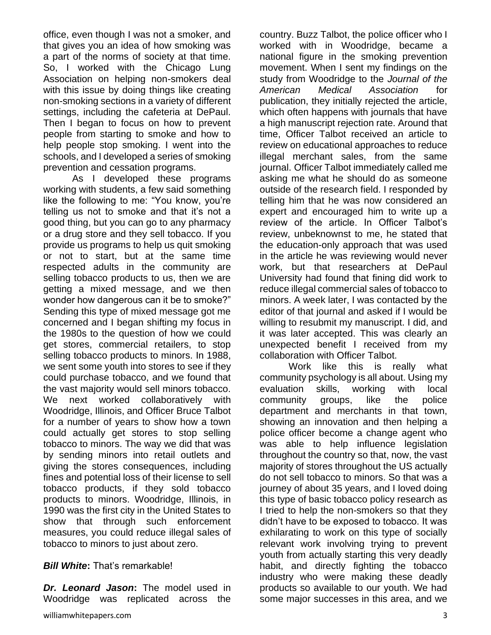office, even though I was not a smoker, and that gives you an idea of how smoking was a part of the norms of society at that time. So, I worked with the Chicago Lung Association on helping non-smokers deal with this issue by doing things like creating non-smoking sections in a variety of different settings, including the cafeteria at DePaul. Then I began to focus on how to prevent people from starting to smoke and how to help people stop smoking. I went into the schools, and I developed a series of smoking prevention and cessation programs.

As I developed these programs working with students, a few said something like the following to me: "You know, you're telling us not to smoke and that it's not a good thing, but you can go to any pharmacy or a drug store and they sell tobacco. If you provide us programs to help us quit smoking or not to start, but at the same time respected adults in the community are selling tobacco products to us, then we are getting a mixed message, and we then wonder how dangerous can it be to smoke?" Sending this type of mixed message got me concerned and I began shifting my focus in the 1980s to the question of how we could get stores, commercial retailers, to stop selling tobacco products to minors. In 1988, we sent some youth into stores to see if they could purchase tobacco, and we found that the vast majority would sell minors tobacco. We next worked collaboratively with Woodridge, Illinois, and Officer Bruce Talbot for a number of years to show how a town could actually get stores to stop selling tobacco to minors. The way we did that was by sending minors into retail outlets and giving the stores consequences, including fines and potential loss of their license to sell tobacco products, if they sold tobacco products to minors. Woodridge, Illinois, in 1990 was the first city in the United States to show that through such enforcement measures, you could reduce illegal sales of tobacco to minors to just about zero.

#### *Bill White***:** That's remarkable!

*Dr. Leonard Jason***:** The model used in Woodridge was replicated across the

country. Buzz Talbot, the police officer who I worked with in Woodridge, became a national figure in the smoking prevention movement. When I sent my findings on the study from Woodridge to the *Journal of the American Medical Association* for publication, they initially rejected the article, which often happens with journals that have a high manuscript rejection rate. Around that time, Officer Talbot received an article to review on educational approaches to reduce illegal merchant sales, from the same journal. Officer Talbot immediately called me asking me what he should do as someone outside of the research field. I responded by telling him that he was now considered an expert and encouraged him to write up a review of the article. In Officer Talbot's review, unbeknownst to me, he stated that the education-only approach that was used in the article he was reviewing would never work, but that researchers at DePaul University had found that fining did work to reduce illegal commercial sales of tobacco to minors. A week later, I was contacted by the editor of that journal and asked if I would be willing to resubmit my manuscript. I did, and it was later accepted. This was clearly an unexpected benefit I received from my collaboration with Officer Talbot.

Work like this is really what community psychology is all about. Using my evaluation skills, working with local community groups, like the police department and merchants in that town, showing an innovation and then helping a police officer become a change agent who was able to help influence legislation throughout the country so that, now, the vast majority of stores throughout the US actually do not sell tobacco to minors. So that was a journey of about 35 years, and I loved doing this type of basic tobacco policy research as I tried to help the non-smokers so that they didn't have to be exposed to tobacco. It was exhilarating to work on this type of socially relevant work involving trying to prevent youth from actually starting this very deadly habit, and directly fighting the tobacco industry who were making these deadly products so available to our youth. We had some major successes in this area, and we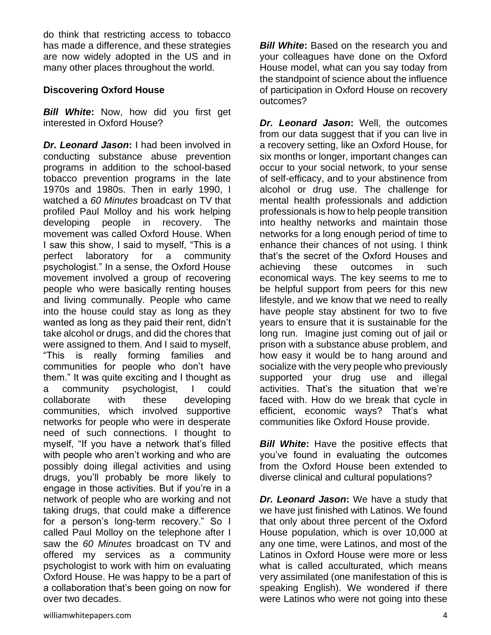do think that restricting access to tobacco has made a difference, and these strategies are now widely adopted in the US and in many other places throughout the world.

#### **Discovering Oxford House**

*Bill White***:** Now, how did you first get interested in Oxford House?

*Dr. Leonard Jason***:** I had been involved in conducting substance abuse prevention programs in addition to the school-based tobacco prevention programs in the late 1970s and 1980s. Then in early 1990, I watched a *60 Minutes* broadcast on TV that profiled Paul Molloy and his work helping developing people in recovery. The movement was called Oxford House. When I saw this show, I said to myself, "This is a perfect laboratory for a community psychologist." In a sense, the Oxford House movement involved a group of recovering people who were basically renting houses and living communally. People who came into the house could stay as long as they wanted as long as they paid their rent, didn't take alcohol or drugs, and did the chores that were assigned to them. And I said to myself, "This is really forming families and communities for people who don't have them." It was quite exciting and I thought as a community psychologist, I could collaborate with these developing communities, which involved supportive networks for people who were in desperate need of such connections. I thought to myself, "If you have a network that's filled with people who aren't working and who are possibly doing illegal activities and using drugs, you'll probably be more likely to engage in those activities. But if you're in a network of people who are working and not taking drugs, that could make a difference for a person's long-term recovery." So I called Paul Molloy on the telephone after I saw the *60 Minutes* broadcast on TV and offered my services as a community psychologist to work with him on evaluating Oxford House. He was happy to be a part of a collaboration that's been going on now for over two decades.

*Bill White***:** Based on the research you and your colleagues have done on the Oxford House model, what can you say today from the standpoint of science about the influence of participation in Oxford House on recovery outcomes?

*Dr. Leonard Jason***:** Well, the outcomes from our data suggest that if you can live in a recovery setting, like an Oxford House, for six months or longer, important changes can occur to your social network, to your sense of self-efficacy, and to your abstinence from alcohol or drug use. The challenge for mental health professionals and addiction professionals is how to help people transition into healthy networks and maintain those networks for a long enough period of time to enhance their chances of not using. I think that's the secret of the Oxford Houses and achieving these outcomes in such economical ways. The key seems to me to be helpful support from peers for this new lifestyle, and we know that we need to really have people stay abstinent for two to five years to ensure that it is sustainable for the long run. Imagine just coming out of jail or prison with a substance abuse problem, and how easy it would be to hang around and socialize with the very people who previously supported your drug use and illegal activities. That's the situation that we're faced with. How do we break that cycle in efficient, economic ways? That's what communities like Oxford House provide.

*Bill White:* Have the positive effects that you've found in evaluating the outcomes from the Oxford House been extended to diverse clinical and cultural populations?

*Dr. Leonard Jason***:** We have a study that we have just finished with Latinos. We found that only about three percent of the Oxford House population, which is over 10,000 at any one time, were Latinos, and most of the Latinos in Oxford House were more or less what is called acculturated, which means very assimilated (one manifestation of this is speaking English). We wondered if there were Latinos who were not going into these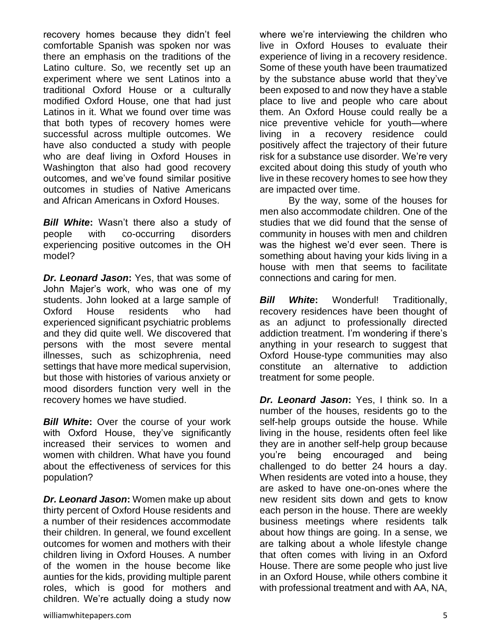recovery homes because they didn't feel comfortable Spanish was spoken nor was there an emphasis on the traditions of the Latino culture. So, we recently set up an experiment where we sent Latinos into a traditional Oxford House or a culturally modified Oxford House, one that had just Latinos in it. What we found over time was that both types of recovery homes were successful across multiple outcomes. We have also conducted a study with people who are deaf living in Oxford Houses in Washington that also had good recovery outcomes, and we've found similar positive outcomes in studies of Native Americans and African Americans in Oxford Houses.

*Bill White***:** Wasn't there also a study of people with co-occurring disorders experiencing positive outcomes in the OH model?

*Dr. Leonard Jason***:** Yes, that was some of John Majer's work, who was one of my students. John looked at a large sample of Oxford House residents who had experienced significant psychiatric problems and they did quite well. We discovered that persons with the most severe mental illnesses, such as schizophrenia, need settings that have more medical supervision, but those with histories of various anxiety or mood disorders function very well in the recovery homes we have studied.

**Bill White:** Over the course of your work with Oxford House, they've significantly increased their services to women and women with children. What have you found about the effectiveness of services for this population?

*Dr. Leonard Jason***:** Women make up about thirty percent of Oxford House residents and a number of their residences accommodate their children. In general, we found excellent outcomes for women and mothers with their children living in Oxford Houses. A number of the women in the house become like aunties for the kids, providing multiple parent roles, which is good for mothers and children. We're actually doing a study now

where we're interviewing the children who live in Oxford Houses to evaluate their experience of living in a recovery residence. Some of these youth have been traumatized by the substance abuse world that they've been exposed to and now they have a stable place to live and people who care about them. An Oxford House could really be a nice preventive vehicle for youth—where living in a recovery residence could positively affect the trajectory of their future risk for a substance use disorder. We're very excited about doing this study of youth who live in these recovery homes to see how they are impacted over time.

By the way, some of the houses for men also accommodate children. One of the studies that we did found that the sense of community in houses with men and children was the highest we'd ever seen. There is something about having your kids living in a house with men that seems to facilitate connections and caring for men.

*Bill White***:** Wonderful! Traditionally, recovery residences have been thought of as an adjunct to professionally directed addiction treatment. I'm wondering if there's anything in your research to suggest that Oxford House-type communities may also constitute an alternative to addiction treatment for some people.

*Dr. Leonard Jason***:** Yes, I think so. In a number of the houses, residents go to the self-help groups outside the house. While living in the house, residents often feel like they are in another self-help group because you're being encouraged and being challenged to do better 24 hours a day. When residents are voted into a house, they are asked to have one-on-ones where the new resident sits down and gets to know each person in the house. There are weekly business meetings where residents talk about how things are going. In a sense, we are talking about a whole lifestyle change that often comes with living in an Oxford House. There are some people who just live in an Oxford House, while others combine it with professional treatment and with AA, NA,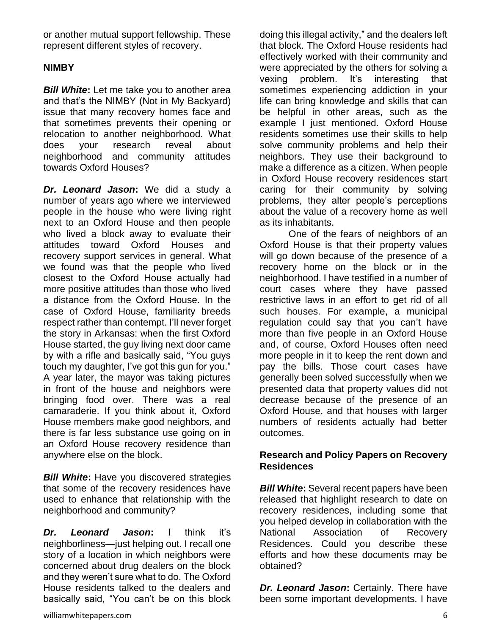or another mutual support fellowship. These represent different styles of recovery.

#### **NIMBY**

*Bill White***:** Let me take you to another area and that's the NIMBY (Not in My Backyard) issue that many recovery homes face and that sometimes prevents their opening or relocation to another neighborhood. What does your research reveal about neighborhood and community attitudes towards Oxford Houses?

*Dr. Leonard Jason***:** We did a study a number of years ago where we interviewed people in the house who were living right next to an Oxford House and then people who lived a block away to evaluate their attitudes toward Oxford Houses and recovery support services in general. What we found was that the people who lived closest to the Oxford House actually had more positive attitudes than those who lived a distance from the Oxford House. In the case of Oxford House, familiarity breeds respect rather than contempt. I'll never forget the story in Arkansas: when the first Oxford House started, the guy living next door came by with a rifle and basically said, "You guys touch my daughter, I've got this gun for you." A year later, the mayor was taking pictures in front of the house and neighbors were bringing food over. There was a real camaraderie. If you think about it, Oxford House members make good neighbors, and there is far less substance use going on in an Oxford House recovery residence than anywhere else on the block.

*Bill White***:** Have you discovered strategies that some of the recovery residences have used to enhance that relationship with the neighborhood and community?

*Dr. Leonard Jason***:** I think it's neighborliness—just helping out. I recall one story of a location in which neighbors were concerned about drug dealers on the block and they weren't sure what to do. The Oxford House residents talked to the dealers and basically said, "You can't be on this block doing this illegal activity," and the dealers left that block. The Oxford House residents had effectively worked with their community and were appreciated by the others for solving a vexing problem. It's interesting that sometimes experiencing addiction in your life can bring knowledge and skills that can be helpful in other areas, such as the example I just mentioned. Oxford House residents sometimes use their skills to help solve community problems and help their neighbors. They use their background to make a difference as a citizen. When people in Oxford House recovery residences start caring for their community by solving problems, they alter people's perceptions about the value of a recovery home as well as its inhabitants.

One of the fears of neighbors of an Oxford House is that their property values will go down because of the presence of a recovery home on the block or in the neighborhood. I have testified in a number of court cases where they have passed restrictive laws in an effort to get rid of all such houses. For example, a municipal regulation could say that you can't have more than five people in an Oxford House and, of course, Oxford Houses often need more people in it to keep the rent down and pay the bills. Those court cases have generally been solved successfully when we presented data that property values did not decrease because of the presence of an Oxford House, and that houses with larger numbers of residents actually had better outcomes.

#### **Research and Policy Papers on Recovery Residences**

*Bill White***:** Several recent papers have been released that highlight research to date on recovery residences, including some that you helped develop in collaboration with the National Association of Recovery Residences. Could you describe these efforts and how these documents may be obtained?

*Dr. Leonard Jason***:** Certainly. There have been some important developments. I have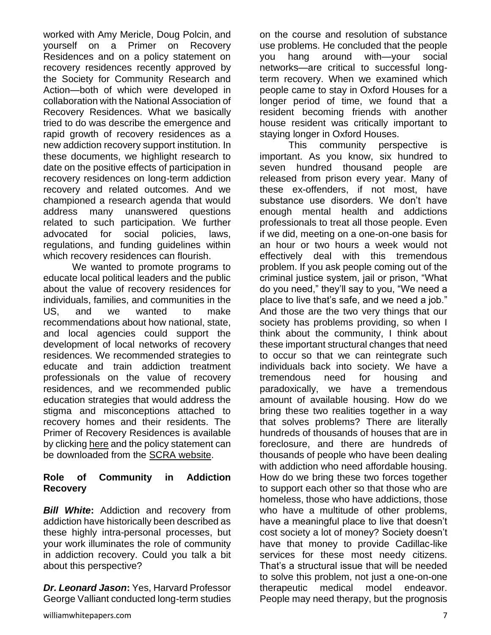worked with Amy Mericle, Doug Polcin, and yourself on a Primer on Recovery Residences and on a policy statement on recovery residences recently approved by the Society for Community Research and Action—both of which were developed in collaboration with the National Association of Recovery Residences. What we basically tried to do was describe the emergence and rapid growth of recovery residences as a new addiction recovery support institution. In these documents, we highlight research to date on the positive effects of participation in recovery residences on long-term addiction recovery and related outcomes. And we championed a research agenda that would address many unanswered questions related to such participation. We further advocated for social policies, laws, regulations, and funding guidelines within which recovery residences can flourish.

We wanted to promote programs to educate local political leaders and the public about the value of recovery residences for individuals, families, and communities in the US, and we wanted to make recommendations about how national, state, and local agencies could support the development of local networks of recovery residences. We recommended strategies to educate and train addiction treatment professionals on the value of recovery residences, and we recommended public education strategies that would address the stigma and misconceptions attached to recovery homes and their residents. The Primer of Recovery Residences is available by clicking [here](http://www.williamwhitepapers.com/pr/2012%20Primer%20on%20Recovery%20Residences%20NARR.pdf) and the policy statement can be downloaded from the [SCRA website.](http://www.scra27.org/policy/documents/rapid-response-position-statements/positionstatementrecoveryresidencesforaddiction~1)

#### **Role of Community in Addiction Recovery**

*Bill White***:** Addiction and recovery from addiction have historically been described as these highly intra-personal processes, but your work illuminates the role of community in addiction recovery. Could you talk a bit about this perspective?

*Dr. Leonard Jason***:** Yes, Harvard Professor George Valliant conducted long-term studies

on the course and resolution of substance use problems. He concluded that the people you hang around with—your social networks—are critical to successful longterm recovery. When we examined which people came to stay in Oxford Houses for a longer period of time, we found that a resident becoming friends with another house resident was critically important to staying longer in Oxford Houses.

This community perspective is important. As you know, six hundred to seven hundred thousand people are released from prison every year. Many of these ex-offenders, if not most, have substance use disorders. We don't have enough mental health and addictions professionals to treat all those people. Even if we did, meeting on a one-on-one basis for an hour or two hours a week would not effectively deal with this tremendous problem. If you ask people coming out of the criminal justice system, jail or prison, "What do you need," they'll say to you, "We need a place to live that's safe, and we need a job." And those are the two very things that our society has problems providing, so when I think about the community, I think about these important structural changes that need to occur so that we can reintegrate such individuals back into society. We have a tremendous need for housing and paradoxically, we have a tremendous amount of available housing. How do we bring these two realities together in a way that solves problems? There are literally hundreds of thousands of houses that are in foreclosure, and there are hundreds of thousands of people who have been dealing with addiction who need affordable housing. How do we bring these two forces together to support each other so that those who are homeless, those who have addictions, those who have a multitude of other problems, have a meaningful place to live that doesn't cost society a lot of money? Society doesn't have that money to provide Cadillac-like services for these most needy citizens. That's a structural issue that will be needed to solve this problem, not just a one-on-one therapeutic medical model endeavor. People may need therapy, but the prognosis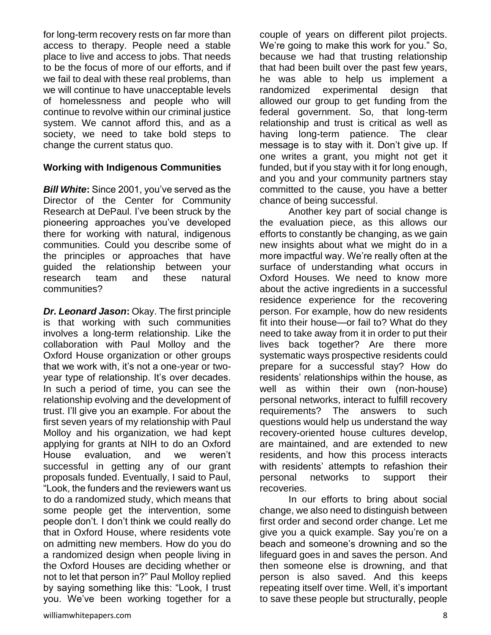for long-term recovery rests on far more than access to therapy. People need a stable place to live and access to jobs. That needs to be the focus of more of our efforts, and if we fail to deal with these real problems, than we will continue to have unacceptable levels of homelessness and people who will continue to revolve within our criminal justice system. We cannot afford this, and as a society, we need to take bold steps to change the current status quo.

#### **Working with Indigenous Communities**

*Bill White***:** Since 2001, you've served as the Director of the Center for Community Research at DePaul. I've been struck by the pioneering approaches you've developed there for working with natural, indigenous communities. Could you describe some of the principles or approaches that have guided the relationship between your research team and these natural communities?

*Dr. Leonard Jason***:** Okay. The first principle is that working with such communities involves a long-term relationship. Like the collaboration with Paul Molloy and the Oxford House organization or other groups that we work with, it's not a one-year or twoyear type of relationship. It's over decades. In such a period of time, you can see the relationship evolving and the development of trust. I'll give you an example. For about the first seven years of my relationship with Paul Molloy and his organization, we had kept applying for grants at NIH to do an Oxford House evaluation, and we weren't successful in getting any of our grant proposals funded. Eventually, I said to Paul, "Look, the funders and the reviewers want us to do a randomized study, which means that some people get the intervention, some people don't. I don't think we could really do that in Oxford House, where residents vote on admitting new members. How do you do a randomized design when people living in the Oxford Houses are deciding whether or not to let that person in?" Paul Molloy replied by saying something like this: "Look, I trust you. We've been working together for a couple of years on different pilot projects. We're going to make this work for you." So, because we had that trusting relationship that had been built over the past few years, he was able to help us implement a randomized experimental design that allowed our group to get funding from the federal government. So, that long-term relationship and trust is critical as well as having long-term patience. The clear message is to stay with it. Don't give up. If one writes a grant, you might not get it funded, but if you stay with it for long enough, and you and your community partners stay committed to the cause, you have a better chance of being successful.

Another key part of social change is the evaluation piece, as this allows our efforts to constantly be changing, as we gain new insights about what we might do in a more impactful way. We're really often at the surface of understanding what occurs in Oxford Houses. We need to know more about the active ingredients in a successful residence experience for the recovering person. For example, how do new residents fit into their house—or fail to? What do they need to take away from it in order to put their lives back together? Are there more systematic ways prospective residents could prepare for a successful stay? How do residents' relationships within the house, as well as within their own (non-house) personal networks, interact to fulfill recovery requirements? The answers to such questions would help us understand the way recovery-oriented house cultures develop, are maintained, and are extended to new residents, and how this process interacts with residents' attempts to refashion their personal networks to support their recoveries.

In our efforts to bring about social change, we also need to distinguish between first order and second order change. Let me give you a quick example. Say you're on a beach and someone's drowning and so the lifeguard goes in and saves the person. And then someone else is drowning, and that person is also saved. And this keeps repeating itself over time. Well, it's important to save these people but structurally, people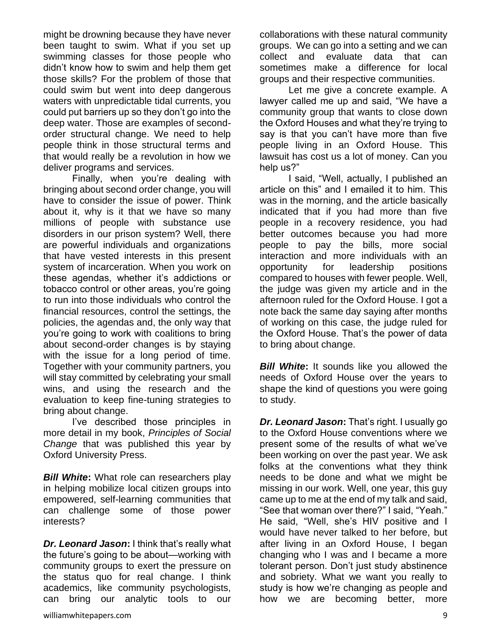might be drowning because they have never been taught to swim. What if you set up swimming classes for those people who didn't know how to swim and help them get those skills? For the problem of those that could swim but went into deep dangerous waters with unpredictable tidal currents, you could put barriers up so they don't go into the deep water. Those are examples of secondorder structural change. We need to help people think in those structural terms and that would really be a revolution in how we deliver programs and services.

Finally, when you're dealing with bringing about second order change, you will have to consider the issue of power. Think about it, why is it that we have so many millions of people with substance use disorders in our prison system? Well, there are powerful individuals and organizations that have vested interests in this present system of incarceration. When you work on these agendas, whether it's addictions or tobacco control or other areas, you're going to run into those individuals who control the financial resources, control the settings, the policies, the agendas and, the only way that you're going to work with coalitions to bring about second-order changes is by staying with the issue for a long period of time. Together with your community partners, you will stay committed by celebrating your small wins, and using the research and the evaluation to keep fine-tuning strategies to bring about change.

I've described those principles in more detail in my book, *Principles of Social Change* that was published this year by Oxford University Press.

*Bill White***:** What role can researchers play in helping mobilize local citizen groups into empowered, self-learning communities that can challenge some of those power interests?

*Dr. Leonard Jason***:** I think that's really what the future's going to be about—working with community groups to exert the pressure on the status quo for real change. I think academics, like community psychologists, can bring our analytic tools to our

collaborations with these natural community groups. We can go into a setting and we can collect and evaluate data that can sometimes make a difference for local groups and their respective communities.

Let me give a concrete example. A lawyer called me up and said, "We have a community group that wants to close down the Oxford Houses and what they're trying to say is that you can't have more than five people living in an Oxford House. This lawsuit has cost us a lot of money. Can you help us?"

I said, "Well, actually, I published an article on this" and I emailed it to him. This was in the morning, and the article basically indicated that if you had more than five people in a recovery residence, you had better outcomes because you had more people to pay the bills, more social interaction and more individuals with an opportunity for leadership positions compared to houses with fewer people. Well, the judge was given my article and in the afternoon ruled for the Oxford House. I got a note back the same day saying after months of working on this case, the judge ruled for the Oxford House. That's the power of data to bring about change.

*Bill White***:** It sounds like you allowed the needs of Oxford House over the years to shape the kind of questions you were going to study.

*Dr. Leonard Jason***:** That's right. I usually go to the Oxford House conventions where we present some of the results of what we've been working on over the past year. We ask folks at the conventions what they think needs to be done and what we might be missing in our work. Well, one year, this guy came up to me at the end of my talk and said, "See that woman over there?" I said, "Yeah." He said, "Well, she's HIV positive and I would have never talked to her before, but after living in an Oxford House, I began changing who I was and I became a more tolerant person. Don't just study abstinence and sobriety. What we want you really to study is how we're changing as people and how we are becoming better, more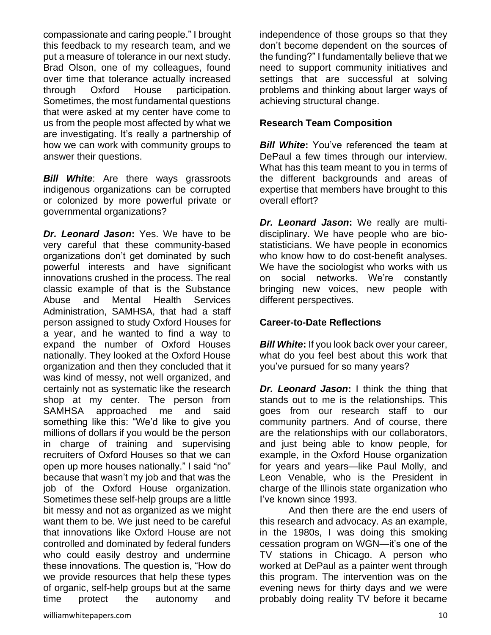compassionate and caring people." I brought this feedback to my research team, and we put a measure of tolerance in our next study. Brad Olson, one of my colleagues, found over time that tolerance actually increased through Oxford House participation. Sometimes, the most fundamental questions that were asked at my center have come to us from the people most affected by what we are investigating. It's really a partnership of how we can work with community groups to answer their questions.

*Bill White*: Are there ways grassroots indigenous organizations can be corrupted or colonized by more powerful private or governmental organizations?

*Dr. Leonard Jason***:** Yes. We have to be very careful that these community-based organizations don't get dominated by such powerful interests and have significant innovations crushed in the process. The real classic example of that is the Substance Abuse and Mental Health Services Administration, SAMHSA, that had a staff person assigned to study Oxford Houses for a year, and he wanted to find a way to expand the number of Oxford Houses nationally. They looked at the Oxford House organization and then they concluded that it was kind of messy, not well organized, and certainly not as systematic like the research shop at my center. The person from SAMHSA approached me and said something like this: "We'd like to give you millions of dollars if you would be the person in charge of training and supervising recruiters of Oxford Houses so that we can open up more houses nationally." I said "no" because that wasn't my job and that was the job of the Oxford House organization. Sometimes these self-help groups are a little bit messy and not as organized as we might want them to be. We just need to be careful that innovations like Oxford House are not controlled and dominated by federal funders who could easily destroy and undermine these innovations. The question is, "How do we provide resources that help these types of organic, self-help groups but at the same time protect the autonomy and

independence of those groups so that they don't become dependent on the sources of the funding?" I fundamentally believe that we need to support community initiatives and settings that are successful at solving problems and thinking about larger ways of achieving structural change.

#### **Research Team Composition**

*Bill White*: You've referenced the team at DePaul a few times through our interview. What has this team meant to you in terms of the different backgrounds and areas of expertise that members have brought to this overall effort?

*Dr. Leonard Jason***:** We really are multidisciplinary. We have people who are biostatisticians. We have people in economics who know how to do cost-benefit analyses. We have the sociologist who works with us on social networks. We're constantly bringing new voices, new people with different perspectives.

#### **Career-to-Date Reflections**

*Bill White***:** If you look back over your career, what do you feel best about this work that you've pursued for so many years?

*Dr. Leonard Jason***:** I think the thing that stands out to me is the relationships. This goes from our research staff to our community partners. And of course, there are the relationships with our collaborators, and just being able to know people, for example, in the Oxford House organization for years and years—like Paul Molly, and Leon Venable, who is the President in charge of the Illinois state organization who I've known since 1993.

And then there are the end users of this research and advocacy. As an example, in the 1980s, I was doing this smoking cessation program on WGN—it's one of the TV stations in Chicago. A person who worked at DePaul as a painter went through this program. The intervention was on the evening news for thirty days and we were probably doing reality TV before it became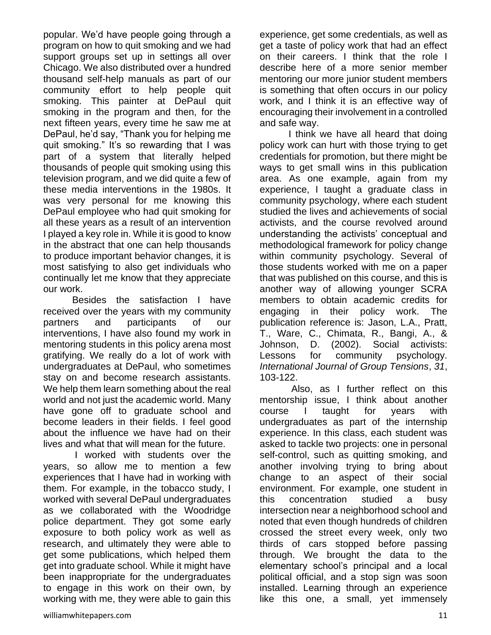popular. We'd have people going through a program on how to quit smoking and we had support groups set up in settings all over Chicago. We also distributed over a hundred thousand self-help manuals as part of our community effort to help people quit smoking. This painter at DePaul quit smoking in the program and then, for the next fifteen years, every time he saw me at DePaul, he'd say, "Thank you for helping me quit smoking." It's so rewarding that I was part of a system that literally helped thousands of people quit smoking using this television program, and we did quite a few of these media interventions in the 1980s. It was very personal for me knowing this DePaul employee who had quit smoking for all these years as a result of an intervention I played a key role in. While it is good to know in the abstract that one can help thousands to produce important behavior changes, it is most satisfying to also get individuals who continually let me know that they appreciate our work.

Besides the satisfaction I have received over the years with my community partners and participants of our interventions, I have also found my work in mentoring students in this policy arena most gratifying. We really do a lot of work with undergraduates at DePaul, who sometimes stay on and become research assistants. We help them learn something about the real world and not just the academic world. Many have gone off to graduate school and become leaders in their fields. I feel good about the influence we have had on their lives and what that will mean for the future.

I worked with students over the years, so allow me to mention a few experiences that I have had in working with them. For example, in the tobacco study, I worked with several DePaul undergraduates as we collaborated with the Woodridge police department. They got some early exposure to both policy work as well as research, and ultimately they were able to get some publications, which helped them get into graduate school. While it might have been inappropriate for the undergraduates to engage in this work on their own, by working with me, they were able to gain this

experience, get some credentials, as well as get a taste of policy work that had an effect on their careers. I think that the role I describe here of a more senior member mentoring our more junior student members is something that often occurs in our policy work, and I think it is an effective way of encouraging their involvement in a controlled and safe way.

I think we have all heard that doing policy work can hurt with those trying to get credentials for promotion, but there might be ways to get small wins in this publication area. As one example, again from my experience, I taught a graduate class in community psychology, where each student studied the lives and achievements of social activists, and the course revolved around understanding the activists' conceptual and methodological framework for policy change within community psychology. Several of those students worked with me on a paper that was published on this course, and this is another way of allowing younger SCRA members to obtain academic credits for engaging in their policy work. The publication reference is: Jason, L.A., Pratt, T., Ware, C., Chimata, R., Bangi, A., & Johnson, D. (2002). Social activists: Lessons for community psychology. *International Journal of Group Tensions*, *31*, 103-122.

Also, as I further reflect on this mentorship issue, I think about another course I taught for years with undergraduates as part of the internship experience. In this class, each student was asked to tackle two projects: one in personal self-control, such as quitting smoking, and another involving trying to bring about change to an aspect of their social environment. For example, one student in this concentration studied a busy intersection near a neighborhood school and noted that even though hundreds of children crossed the street every week, only two thirds of cars stopped before passing through. We brought the data to the elementary school's principal and a local political official, and a stop sign was soon installed. Learning through an experience like this one, a small, yet immensely